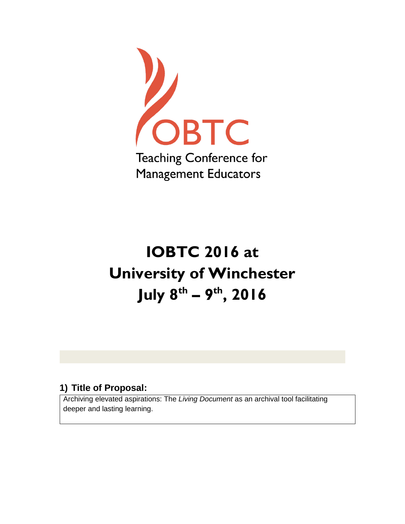

# **IOBTC 2016 at University of Winchester July 8 th – 9 th, 2016**

## **1) Title of Proposal:**

Archiving elevated aspirations: The *Living Document* as an archival tool facilitating deeper and lasting learning.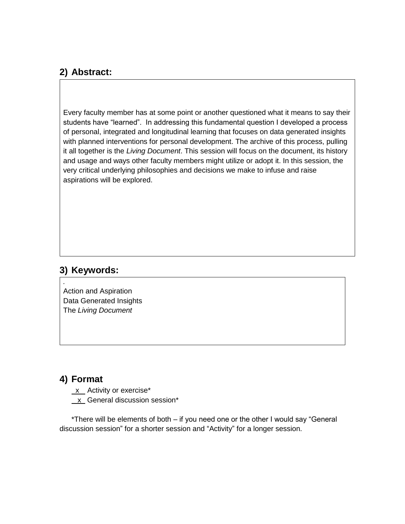## **2) Abstract:**

Every faculty member has at some point or another questioned what it means to say their students have "learned". In addressing this fundamental question I developed a process of personal, integrated and longitudinal learning that focuses on data generated insights with planned interventions for personal development. The archive of this process, pulling it all together is the *Living Document*. This session will focus on the document, its history and usage and ways other faculty members might utilize or adopt it. In this session, the very critical underlying philosophies and decisions we make to infuse and raise aspirations will be explored.

### **3) Keywords:**

*.*

Action and Aspiration Data Generated Insights The *Living Document* 

## **4) Format**

- $x$  Activity or exercise\*
- x General discussion session\*

\*There will be elements of both – if you need one or the other I would say "General discussion session" for a shorter session and "Activity" for a longer session.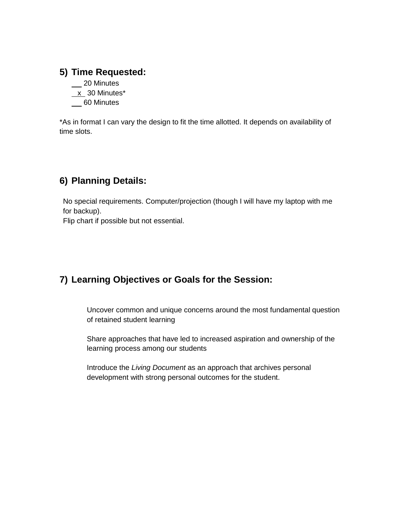## **5) Time Requested:**

- \_\_ 20 Minutes
- $x$  30 Minutes\*
- 60 Minutes

\*As in format I can vary the design to fit the time allotted. It depends on availability of time slots.

## **6) Planning Details:**

No special requirements. Computer/projection (though I will have my laptop with me for backup).

Flip chart if possible but not essential.

## **7) Learning Objectives or Goals for the Session:**

Uncover common and unique concerns around the most fundamental question of retained student learning

Share approaches that have led to increased aspiration and ownership of the learning process among our students

Introduce the *Living Document* as an approach that archives personal development with strong personal outcomes for the student.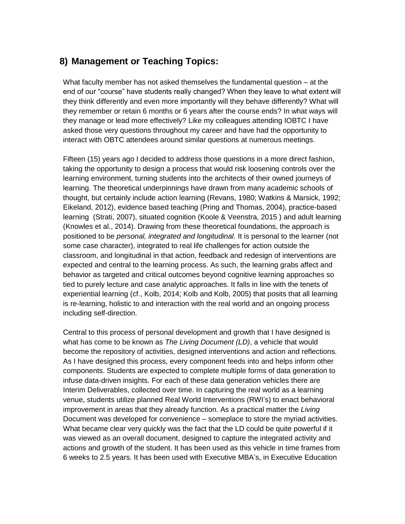## **8) Management or Teaching Topics:**

What faculty member has not asked themselves the fundamental question – at the end of our "course" have students really changed? When they leave to what extent will they think differently and even more importantly will they behave differently? What will they remember or retain 6 months or 6 years after the course ends? In what ways will they manage or lead more effectively? Like my colleagues attending IOBTC I have asked those very questions throughout my career and have had the opportunity to interact with OBTC attendees around similar questions at numerous meetings.

Fifteen (15) years ago I decided to address those questions in a more direct fashion, taking the opportunity to design a process that would risk loosening controls over the learning environment, turning students into the architects of their owned journeys of learning. The theoretical underpinnings have drawn from many academic schools of thought, but certainly include action learning (Revans, 1980; Watkins & Marsick, 1992; Eikeland, 2012), evidence based teaching (Pring and Thomas, 2004), practice-based learning (Strati, 2007), situated cognition (Koole & Veenstra, 2015 ) and adult learning (Knowles et al., 2014). Drawing from these theoretical foundations, the approach is positioned to be *personal, integrated and longitudinal.* It is personal to the learner (not some case character), integrated to real life challenges for action outside the classroom, and longitudinal in that action, feedback and redesign of interventions are expected and central to the learning process. As such, the learning grabs affect and behavior as targeted and critical outcomes beyond cognitive learning approaches so tied to purely lecture and case analytic approaches. It falls in line with the tenets of experiential learning (cf., Kolb, 2014; Kolb and Kolb, 2005) that posits that all learning is re-learning, holistic to and interaction with the real world and an ongoing process including self-direction.

Central to this process of personal development and growth that I have designed is what has come to be known as *The Living Document (LD)*, a vehicle that would become the repository of activities, designed interventions and action and reflections. As I have designed this process, every component feeds into and helps inform other components. Students are expected to complete multiple forms of data generation to infuse data-driven insights. For each of these data generation vehicles there are Interim Deliverables, collected over time. In capturing the real world as a learning venue, students utilize planned Real World Interventions (RWI's) to enact behavioral improvement in areas that they already function. As a practical matter the *Living*  Document was developed for convenience – someplace to store the myriad activities. What became clear very quickly was the fact that the LD could be quite powerful if it was viewed as an overall document, designed to capture the integrated activity and actions and growth of the student. It has been used as this vehicle in time frames from 6 weeks to 2.5 years. It has been used with Executive MBA's, in Executive Education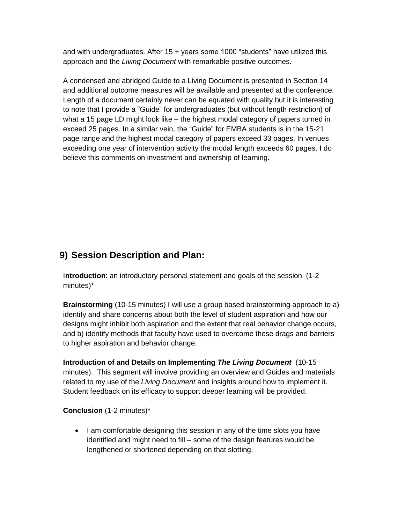and with undergraduates. After 15 + years some 1000 "students" have utilized this approach and the *Living Document* with remarkable positive outcomes.

A condensed and abridged Guide to a Living Document is presented in Section 14 and additional outcome measures will be available and presented at the conference. Length of a document certainly never can be equated with quality but it is interesting to note that I provide a "Guide" for undergraduates (but without length restriction) of what a 15 page LD might look like – the highest modal category of papers turned in exceed 25 pages. In a similar vein, the "Guide" for EMBA students is in the 15-21 page range and the highest modal category of papers exceed 33 pages. In venues exceeding one year of intervention activity the modal length exceeds 60 pages. I do believe this comments on investment and ownership of learning.

## **9) Session Description and Plan:**

I**ntroduction**: an introductory personal statement and goals of the session (1-2 minutes)\*

**Brainstorming** (10-15 minutes) I will use a group based brainstorming approach to a) identify and share concerns about both the level of student aspiration and how our designs might inhibit both aspiration and the extent that real behavior change occurs, and b) identify methods that faculty have used to overcome these drags and barriers to higher aspiration and behavior change.

**Introduction of and Details on Implementing** *The Living Document* (10-15 minutes). This segment will involve providing an overview and Guides and materials related to my use of the *Living Document* and insights around how to implement it. Student feedback on its efficacy to support deeper learning will be provided.

#### **Conclusion** (1-2 minutes)\*

• I am comfortable designing this session in any of the time slots you have identified and might need to fill – some of the design features would be lengthened or shortened depending on that slotting.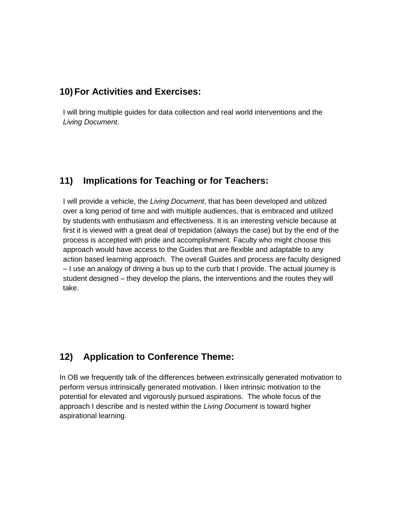#### **10) For Activities and Exercises:**

I will bring multiple guides for data collection and real world interventions and the *Living Document*.

## **11) Implications for Teaching or for Teachers:**

I will provide a vehicle, the *Living Document*, that has been developed and utilized over a long period of time and with multiple audiences, that is embraced and utilized by students with enthusiasm and effectiveness. It is an interesting vehicle because at first it is viewed with a great deal of trepidation (always the case) but by the end of the process is accepted with pride and accomplishment. Faculty who might choose this approach would have access to the Guides that are flexible and adaptable to any action based learning approach. The overall Guides and process are faculty designed – I use an analogy of driving a bus up to the curb that I provide. The actual journey is student designed – they develop the plans, the interventions and the routes they will take.

## **12) Application to Conference Theme:**

In OB we frequently talk of the differences between extrinsically generated motivation to perform versus intrinsically generated motivation. I liken intrinsic motivation to the potential for elevated and vigorously pursued aspirations. The whole focus of the approach I describe and is nested within the *Living Document* is toward higher aspirational learning.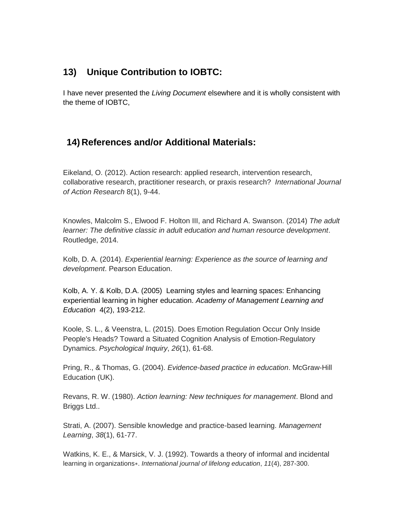## **13) Unique Contribution to IOBTC:**

I have never presented the *Living Document* elsewhere and it is wholly consistent with the theme of IOBTC,

## **14) References and/or Additional Materials:**

Eikeland, O. (2012). Action research: applied research, intervention research, collaborative research, practitioner research, or praxis research? *International Journal of Action Research* 8(1), 9-44.

Knowles, Malcolm S., Elwood F. Holton III, and Richard A. Swanson. (2014) *The adult learner: The definitive classic in adult education and human resource development*. Routledge, 2014.

Kolb, D. A. (2014). *Experiential learning: Experience as the source of learning and development*. Pearson Education.

Kolb, A. Y. & Kolb, D.A. (2005) Learning styles and learning spaces: Enhancing experiential learning in higher education. *Academy of Management Learning and Education* 4(2), 193-212.

Koole, S. L., & Veenstra, L. (2015). Does Emotion Regulation Occur Only Inside People's Heads? Toward a Situated Cognition Analysis of Emotion-Regulatory Dynamics. *Psychological Inquiry*, *26*(1), 61-68.

Pring, R., & Thomas, G. (2004). *Evidence-based practice in education*. McGraw-Hill Education (UK).

Revans, R. W. (1980). *Action learning: New techniques for management*. Blond and Briggs Ltd..

Strati, A. (2007). Sensible knowledge and practice-based learning. *Management Learning*, *38*(1), 61-77.

Watkins, K. E., & Marsick, V. J. (1992). Towards a theory of informal and incidental learning in organizations∗. *International journal of lifelong education*, *11*(4), 287-300.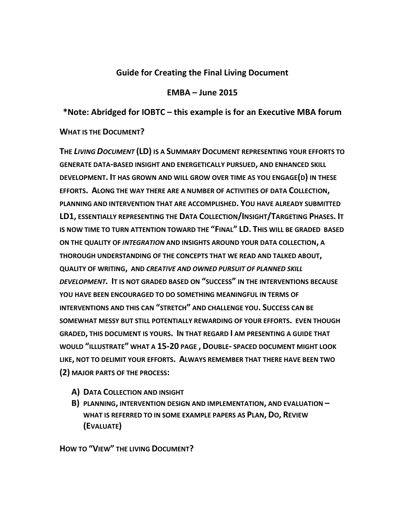#### **Guide for Creating the Final Living Document**

#### **EMBA – June 2015**

#### **\*Note: Abridged for IOBTC – this example is for an Executive MBA forum**

#### **WHAT IS THE DOCUMENT?**

**THE** *LIVING DOCUMENT* **(LD) IS A SUMMARY DOCUMENT REPRESENTING YOUR EFFORTS TO GENERATE DATA-BASED INSIGHT AND ENERGETICALLY PURSUED, AND ENHANCED SKILL DEVELOPMENT. IT HAS GROWN AND WILL GROW OVER TIME AS YOU ENGAGE(D) IN THESE EFFORTS. ALONG THE WAY THERE ARE A NUMBER OF ACTIVITIES OF DATA COLLECTION, PLANNING AND INTERVENTION THAT ARE ACCOMPLISHED. YOU HAVE ALREADY SUBMITTED LD1, ESSENTIALLY REPRESENTING THE DATA COLLECTION/INSIGHT/TARGETING PHASES. IT IS NOW TIME TO TURN ATTENTION TOWARD THE "FINAL" LD. THIS WILL BE GRADED BASED ON THE QUALITY OF** *INTEGRATION* **AND INSIGHTS AROUND YOUR DATA COLLECTION, A THOROUGH UNDERSTANDING OF THE CONCEPTS THAT WE READ AND TALKED ABOUT, QUALITY OF WRITING, AND** *CREATIVE AND OWNED PURSUIT OF PLANNED SKILL DEVELOPMENT.* **IT IS NOT GRADED BASED ON "SUCCESS" IN THE INTERVENTIONS BECAUSE YOU HAVE BEEN ENCOURAGED TO DO SOMETHING MEANINGFUL IN TERMS OF INTERVENTIONS AND THIS CAN "STRETCH" AND CHALLENGE YOU. SUCCESS CAN BE SOMEWHAT MESSY BUT STILL POTENTIALLY REWARDING OF YOUR EFFORTS. EVEN THOUGH GRADED, THIS DOCUMENT IS YOURS. IN THAT REGARD I AM PRESENTING A GUIDE THAT WOULD "ILLUSTRATE" WHAT A 15-20 PAGE , DOUBLE- SPACED DOCUMENT MIGHT LOOK LIKE, NOT TO DELIMIT YOUR EFFORTS. ALWAYS REMEMBER THAT THERE HAVE BEEN TWO (2) MAJOR PARTS OF THE PROCESS:**

- **A) DATA COLLECTION AND INSIGHT**
- **B) PLANNING, INTERVENTION DESIGN AND IMPLEMENTATION, AND EVALUATION – WHAT IS REFERRED TO IN SOME EXAMPLE PAPERS AS PLAN, DO, REVIEW (EVALUATE)**

**HOW TO "VIEW" THE LIVING DOCUMENT?**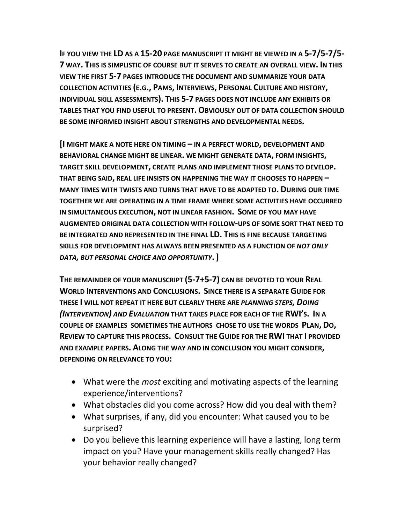**IF YOU VIEW THE LD AS A 15-20 PAGE MANUSCRIPT IT MIGHT BE VIEWED IN A 5-7/5-7/5- 7 WAY. THIS IS SIMPLISTIC OF COURSE BUT IT SERVES TO CREATE AN OVERALL VIEW. IN THIS VIEW THE FIRST 5-7 PAGES INTRODUCE THE DOCUMENT AND SUMMARIZE YOUR DATA COLLECTION ACTIVITIES (E.G., PAMS, INTERVIEWS, PERSONAL CULTURE AND HISTORY, INDIVIDUAL SKILL ASSESSMENTS). THIS 5-7 PAGES DOES NOT INCLUDE ANY EXHIBITS OR TABLES THAT YOU FIND USEFUL TO PRESENT.OBVIOUSLY OUT OF DATA COLLECTION SHOULD BE SOME INFORMED INSIGHT ABOUT STRENGTHS AND DEVELOPMENTAL NEEDS.**

**[I MIGHT MAKE A NOTE HERE ON TIMING – IN A PERFECT WORLD, DEVELOPMENT AND BEHAVIORAL CHANGE MIGHT BE LINEAR. WE MIGHT GENERATE DATA, FORM INSIGHTS, TARGET SKILL DEVELOPMENT, CREATE PLANS AND IMPLEMENT THOSE PLANS TO DEVELOP. THAT BEING SAID, REAL LIFE INSISTS ON HAPPENING THE WAY IT CHOOSES TO HAPPEN – MANY TIMES WITH TWISTS AND TURNS THAT HAVE TO BE ADAPTED TO. DURING OUR TIME TOGETHER WE ARE OPERATING IN A TIME FRAME WHERE SOME ACTIVITIES HAVE OCCURRED IN SIMULTANEOUS EXECUTION, NOT IN LINEAR FASHION. SOME OF YOU MAY HAVE AUGMENTED ORIGINAL DATA COLLECTION WITH FOLLOW-UPS OF SOME SORT THAT NEED TO BE INTEGRATED AND REPRESENTED IN THE FINAL LD. THIS IS FINE BECAUSE TARGETING SKILLS FOR DEVELOPMENT HAS ALWAYS BEEN PRESENTED AS A FUNCTION OF** *NOT ONLY DATA, BUT PERSONAL CHOICE AND OPPORTUNITY***.]**

**THE REMAINDER OF YOUR MANUSCRIPT (5-7+5-7) CAN BE DEVOTED TO YOUR REAL WORLD INTERVENTIONS AND CONCLUSIONS. SINCE THERE IS A SEPARATE GUIDE FOR THESE I WILL NOT REPEAT IT HERE BUT CLEARLY THERE ARE** *PLANNING STEPS, DOING (INTERVENTION) AND EVALUATION* **THAT TAKES PLACE FOR EACH OF THE RWI'S. IN A COUPLE OF EXAMPLES SOMETIMES THE AUTHORS CHOSE TO USE THE WORDS PLAN, DO, REVIEW TO CAPTURE THIS PROCESS. CONSULT THE GUIDE FOR THE RWI THAT I PROVIDED AND EXAMPLE PAPERS. ALONG THE WAY AND IN CONCLUSION YOU MIGHT CONSIDER, DEPENDING ON RELEVANCE TO YOU:**

- What were the *most* exciting and motivating aspects of the learning experience/interventions?
- What obstacles did you come across? How did you deal with them?
- What surprises, if any, did you encounter: What caused you to be surprised?
- Do you believe this learning experience will have a lasting, long term impact on you? Have your management skills really changed? Has your behavior really changed?